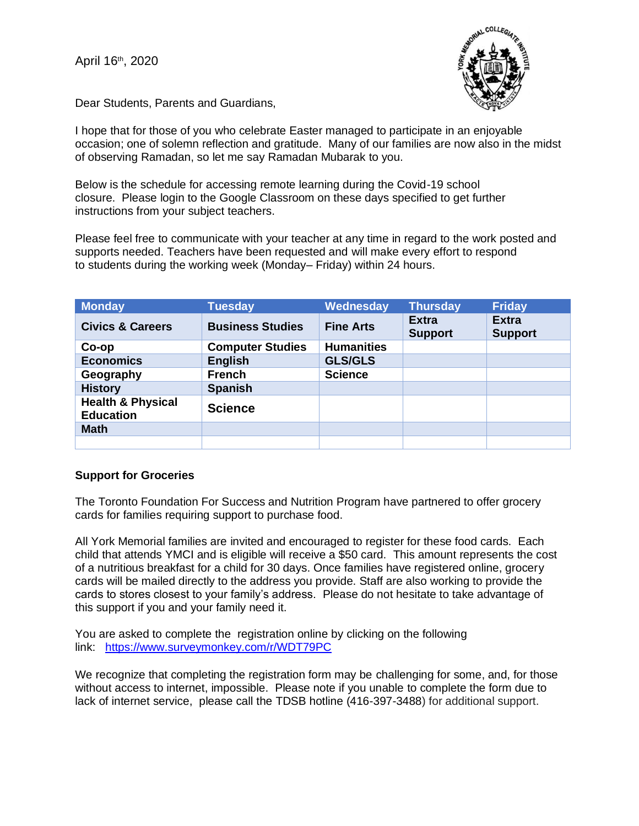April 16<sup>th</sup>, 2020



Dear Students, Parents and Guardians,

I hope that for those of you who celebrate Easter managed to participate in an enjoyable occasion; one of solemn reflection and gratitude. Many of our families are now also in the midst of observing Ramadan, so let me say Ramadan Mubarak to you.

Below is the schedule for accessing remote learning during the Covid-19 school closure. Please login to the Google Classroom on these days specified to get further instructions from your subject teachers.

Please feel free to communicate with your teacher at any time in regard to the work posted and supports needed. Teachers have been requested and will make every effort to respond to students during the working week (Monday– Friday) within 24 hours.

| <b>Monday</b>                                    | <b>Tuesday</b>          | Wednesday         | <b>Thursday</b>                | <b>Friday</b>                  |
|--------------------------------------------------|-------------------------|-------------------|--------------------------------|--------------------------------|
| <b>Civics &amp; Careers</b>                      | <b>Business Studies</b> | <b>Fine Arts</b>  | <b>Extra</b><br><b>Support</b> | <b>Extra</b><br><b>Support</b> |
| Co-op                                            | <b>Computer Studies</b> | <b>Humanities</b> |                                |                                |
| <b>Economics</b>                                 | <b>English</b>          | <b>GLS/GLS</b>    |                                |                                |
| Geography                                        | <b>French</b>           | <b>Science</b>    |                                |                                |
| <b>History</b>                                   | <b>Spanish</b>          |                   |                                |                                |
| <b>Health &amp; Physical</b><br><b>Education</b> | <b>Science</b>          |                   |                                |                                |
| <b>Math</b>                                      |                         |                   |                                |                                |
|                                                  |                         |                   |                                |                                |

## **Support for Groceries**

The Toronto Foundation For Success and Nutrition Program have partnered to offer grocery cards for families requiring support to purchase food.

All York Memorial families are invited and encouraged to register for these food cards. Each child that attends YMCI and is eligible will receive a \$50 card. This amount represents the cost of a nutritious breakfast for a child for 30 days. Once families have registered online, grocery cards will be mailed directly to the address you provide. Staff are also working to provide the cards to stores closest to your family's address. Please do not hesitate to take advantage of this support if you and your family need it.

You are asked to complete the registration online by clicking on the following link: <https://www.surveymonkey.com/r/WDT79PC>

We recognize that completing the registration form may be challenging for some, and, for those without access to internet, impossible. Please note if you unable to complete the form due to lack of internet service, please call the TDSB hotline (416-397-3488) for additional support.